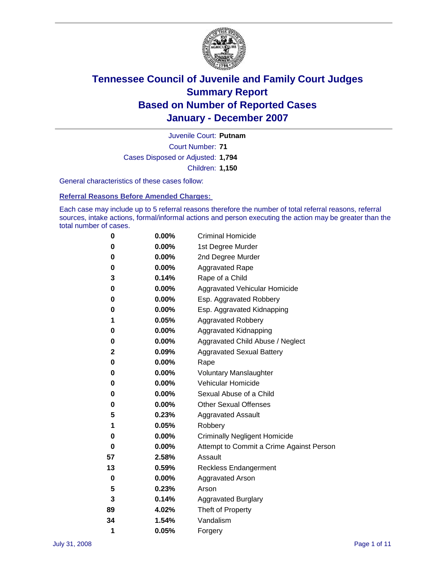

Court Number: **71** Juvenile Court: **Putnam** Cases Disposed or Adjusted: **1,794** Children: **1,150**

General characteristics of these cases follow:

**Referral Reasons Before Amended Charges:** 

Each case may include up to 5 referral reasons therefore the number of total referral reasons, referral sources, intake actions, formal/informal actions and person executing the action may be greater than the total number of cases.

| 0  | 0.00%    | <b>Criminal Homicide</b>                 |
|----|----------|------------------------------------------|
| 0  | 0.00%    | 1st Degree Murder                        |
| 0  | 0.00%    | 2nd Degree Murder                        |
| 0  | 0.00%    | <b>Aggravated Rape</b>                   |
| 3  | 0.14%    | Rape of a Child                          |
| 0  | 0.00%    | Aggravated Vehicular Homicide            |
| 0  | 0.00%    | Esp. Aggravated Robbery                  |
| 0  | 0.00%    | Esp. Aggravated Kidnapping               |
| 1  | 0.05%    | <b>Aggravated Robbery</b>                |
| 0  | 0.00%    | Aggravated Kidnapping                    |
| 0  | 0.00%    | Aggravated Child Abuse / Neglect         |
| 2  | 0.09%    | <b>Aggravated Sexual Battery</b>         |
| 0  | 0.00%    | Rape                                     |
| 0  | 0.00%    | <b>Voluntary Manslaughter</b>            |
| 0  | 0.00%    | Vehicular Homicide                       |
| 0  | $0.00\%$ | Sexual Abuse of a Child                  |
| 0  | 0.00%    | <b>Other Sexual Offenses</b>             |
| 5  | 0.23%    | <b>Aggravated Assault</b>                |
| 1  | 0.05%    | Robbery                                  |
| 0  | $0.00\%$ | <b>Criminally Negligent Homicide</b>     |
| 0  | 0.00%    | Attempt to Commit a Crime Against Person |
| 57 | 2.58%    | Assault                                  |
| 13 | 0.59%    | <b>Reckless Endangerment</b>             |
| 0  | $0.00\%$ | <b>Aggravated Arson</b>                  |
| 5  | 0.23%    | Arson                                    |
| 3  | 0.14%    | <b>Aggravated Burglary</b>               |
| 89 | 4.02%    | Theft of Property                        |
| 34 | 1.54%    | Vandalism                                |
| 1  | 0.05%    | Forgery                                  |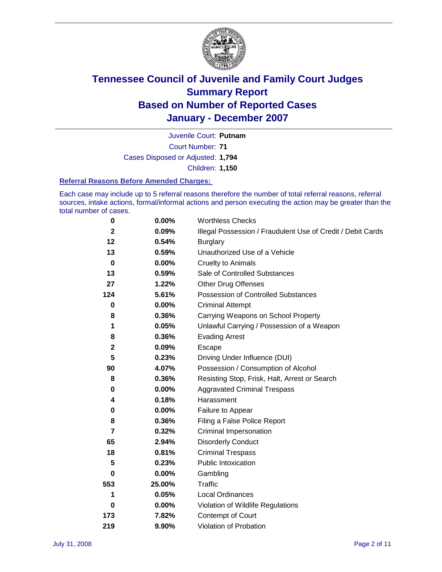

Court Number: **71** Juvenile Court: **Putnam** Cases Disposed or Adjusted: **1,794** Children: **1,150**

#### **Referral Reasons Before Amended Charges:**

Each case may include up to 5 referral reasons therefore the number of total referral reasons, referral sources, intake actions, formal/informal actions and person executing the action may be greater than the total number of cases.

| 0              | 0.00%    | <b>Worthless Checks</b>                                     |
|----------------|----------|-------------------------------------------------------------|
| $\mathbf{2}$   | 0.09%    | Illegal Possession / Fraudulent Use of Credit / Debit Cards |
| 12             | 0.54%    | <b>Burglary</b>                                             |
| 13             | 0.59%    | Unauthorized Use of a Vehicle                               |
| $\mathbf 0$    | $0.00\%$ | <b>Cruelty to Animals</b>                                   |
| 13             | 0.59%    | Sale of Controlled Substances                               |
| 27             | 1.22%    | <b>Other Drug Offenses</b>                                  |
| 124            | 5.61%    | Possession of Controlled Substances                         |
| 0              | $0.00\%$ | <b>Criminal Attempt</b>                                     |
| 8              | 0.36%    | Carrying Weapons on School Property                         |
| 1              | 0.05%    | Unlawful Carrying / Possession of a Weapon                  |
| 8              | 0.36%    | <b>Evading Arrest</b>                                       |
| $\mathbf{2}$   | 0.09%    | Escape                                                      |
| 5              | 0.23%    | Driving Under Influence (DUI)                               |
| 90             | 4.07%    | Possession / Consumption of Alcohol                         |
| 8              | 0.36%    | Resisting Stop, Frisk, Halt, Arrest or Search               |
| 0              | $0.00\%$ | <b>Aggravated Criminal Trespass</b>                         |
| 4              | 0.18%    | Harassment                                                  |
| 0              | 0.00%    | Failure to Appear                                           |
| 8              | 0.36%    | Filing a False Police Report                                |
| $\overline{7}$ | 0.32%    | Criminal Impersonation                                      |
| 65             | 2.94%    | <b>Disorderly Conduct</b>                                   |
| 18             | 0.81%    | <b>Criminal Trespass</b>                                    |
| 5              | 0.23%    | <b>Public Intoxication</b>                                  |
| 0              | $0.00\%$ | Gambling                                                    |
| 553            | 25.00%   | Traffic                                                     |
| 1              | 0.05%    | <b>Local Ordinances</b>                                     |
| 0              | $0.00\%$ | Violation of Wildlife Regulations                           |
| 173            | 7.82%    | Contempt of Court                                           |
| 219            | 9.90%    | Violation of Probation                                      |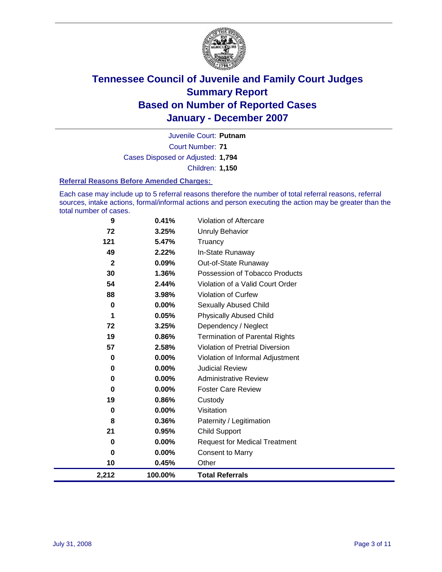

Court Number: **71** Juvenile Court: **Putnam** Cases Disposed or Adjusted: **1,794** Children: **1,150**

#### **Referral Reasons Before Amended Charges:**

Each case may include up to 5 referral reasons therefore the number of total referral reasons, referral sources, intake actions, formal/informal actions and person executing the action may be greater than the total number of cases.

| 2,212        | 100.00%  | <b>Total Referrals</b>                 |
|--------------|----------|----------------------------------------|
| 10           | 0.45%    | Other                                  |
| 0            | 0.00%    | <b>Consent to Marry</b>                |
| 0            | 0.00%    | <b>Request for Medical Treatment</b>   |
| 21           | 0.95%    | <b>Child Support</b>                   |
| 8            | 0.36%    | Paternity / Legitimation               |
| 0            | $0.00\%$ | Visitation                             |
| 19           | 0.86%    | Custody                                |
| 0            | 0.00%    | <b>Foster Care Review</b>              |
| 0            | 0.00%    | <b>Administrative Review</b>           |
| 0            | 0.00%    | <b>Judicial Review</b>                 |
| 0            | 0.00%    | Violation of Informal Adjustment       |
| 57           | 2.58%    | <b>Violation of Pretrial Diversion</b> |
| 19           | 0.86%    | <b>Termination of Parental Rights</b>  |
| 72           | 3.25%    | Dependency / Neglect                   |
| 1            | 0.05%    | <b>Physically Abused Child</b>         |
| 0            | 0.00%    | <b>Sexually Abused Child</b>           |
| 88           | 3.98%    | Violation of Curfew                    |
| 54           | 2.44%    | Violation of a Valid Court Order       |
| 30           | 1.36%    | Possession of Tobacco Products         |
| $\mathbf{2}$ | 0.09%    | Out-of-State Runaway                   |
| 49           | 2.22%    | In-State Runaway                       |
| 121          | 5.47%    | Truancy                                |
| 72           | 3.25%    | <b>Unruly Behavior</b>                 |
| 9            | 0.41%    | Violation of Aftercare                 |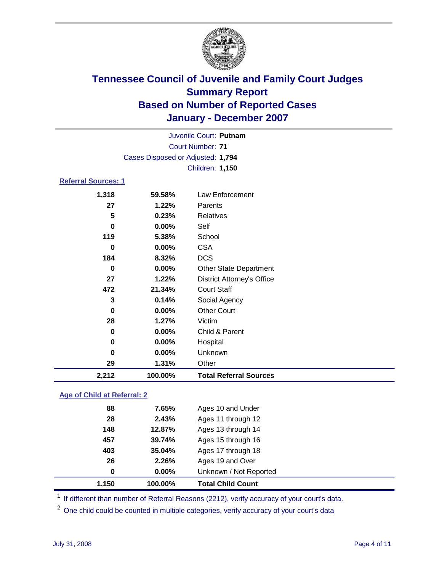

|                                   |                 | Juvenile Court: Putnam            |  |  |  |  |  |  |
|-----------------------------------|-----------------|-----------------------------------|--|--|--|--|--|--|
| Court Number: 71                  |                 |                                   |  |  |  |  |  |  |
| Cases Disposed or Adjusted: 1,794 |                 |                                   |  |  |  |  |  |  |
|                                   | Children: 1,150 |                                   |  |  |  |  |  |  |
| <b>Referral Sources: 1</b>        |                 |                                   |  |  |  |  |  |  |
| 1,318                             | 59.58%          | Law Enforcement                   |  |  |  |  |  |  |
| 27                                | 1.22%           | Parents                           |  |  |  |  |  |  |
| 5                                 | 0.23%           | Relatives                         |  |  |  |  |  |  |
| 0                                 | $0.00\%$        | Self                              |  |  |  |  |  |  |
| 119                               | 5.38%           | School                            |  |  |  |  |  |  |
| 0                                 | $0.00\%$        | <b>CSA</b>                        |  |  |  |  |  |  |
| 184                               | 8.32%           | <b>DCS</b>                        |  |  |  |  |  |  |
| 0                                 | $0.00\%$        | <b>Other State Department</b>     |  |  |  |  |  |  |
| 27                                | 1.22%           | <b>District Attorney's Office</b> |  |  |  |  |  |  |
| 472                               | 21.34%          | <b>Court Staff</b>                |  |  |  |  |  |  |
| 3                                 | 0.14%           | Social Agency                     |  |  |  |  |  |  |

| 2.212    | 100.00%  | <b>Total Referral Sources</b> |  |
|----------|----------|-------------------------------|--|
| 29       | 1.31%    | Other                         |  |
| 0        | $0.00\%$ | <b>Unknown</b>                |  |
| $\bf{0}$ | 0.00%    | Hospital                      |  |
| $\bf{0}$ | $0.00\%$ | Child & Parent                |  |
| 28       | 1.27%    | Victim                        |  |
| 0        | $0.00\%$ | <b>Other Court</b>            |  |

### **Age of Child at Referral: 2**

| 1.150 | 100.00% | <b>Total Child Count</b> |  |
|-------|---------|--------------------------|--|
| 0     | 0.00%   | Unknown / Not Reported   |  |
| 26    | 2.26%   | Ages 19 and Over         |  |
| 403   | 35.04%  | Ages 17 through 18       |  |
| 457   | 39.74%  | Ages 15 through 16       |  |
| 148   | 12.87%  | Ages 13 through 14       |  |
| 28    | 2.43%   | Ages 11 through 12       |  |
| 88    | 7.65%   | Ages 10 and Under        |  |
|       |         |                          |  |

<sup>1</sup> If different than number of Referral Reasons (2212), verify accuracy of your court's data.

One child could be counted in multiple categories, verify accuracy of your court's data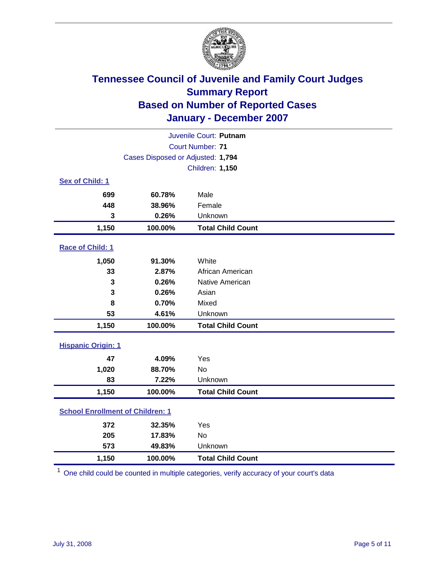

|                                         |                                   | Juvenile Court: Putnam   |  |  |  |
|-----------------------------------------|-----------------------------------|--------------------------|--|--|--|
| Court Number: 71                        |                                   |                          |  |  |  |
|                                         | Cases Disposed or Adjusted: 1,794 |                          |  |  |  |
|                                         |                                   | <b>Children: 1,150</b>   |  |  |  |
| Sex of Child: 1                         |                                   |                          |  |  |  |
| 699                                     | 60.78%                            | Male                     |  |  |  |
| 448                                     | 38.96%                            | Female                   |  |  |  |
| 3                                       | 0.26%                             | Unknown                  |  |  |  |
| 1,150                                   | 100.00%                           | <b>Total Child Count</b> |  |  |  |
| Race of Child: 1                        |                                   |                          |  |  |  |
| 1,050                                   | 91.30%                            | White                    |  |  |  |
| 33                                      | 2.87%                             | African American         |  |  |  |
| 3                                       | 0.26%                             | Native American          |  |  |  |
| 3                                       | 0.26%                             | Asian                    |  |  |  |
| 8                                       | 0.70%                             | Mixed                    |  |  |  |
| 53                                      | 4.61%                             | Unknown                  |  |  |  |
| 1,150                                   | 100.00%                           | <b>Total Child Count</b> |  |  |  |
| <b>Hispanic Origin: 1</b>               |                                   |                          |  |  |  |
| 47                                      | 4.09%                             | Yes                      |  |  |  |
| 1,020                                   | 88.70%                            | <b>No</b>                |  |  |  |
| 83                                      | 7.22%                             | Unknown                  |  |  |  |
| 1,150                                   | 100.00%                           | <b>Total Child Count</b> |  |  |  |
| <b>School Enrollment of Children: 1</b> |                                   |                          |  |  |  |
| 372                                     | 32.35%                            | Yes                      |  |  |  |
| 205                                     | 17.83%                            | No                       |  |  |  |
| 573                                     | 49.83%                            | Unknown                  |  |  |  |
| 1,150                                   | 100.00%                           | <b>Total Child Count</b> |  |  |  |

<sup>1</sup> One child could be counted in multiple categories, verify accuracy of your court's data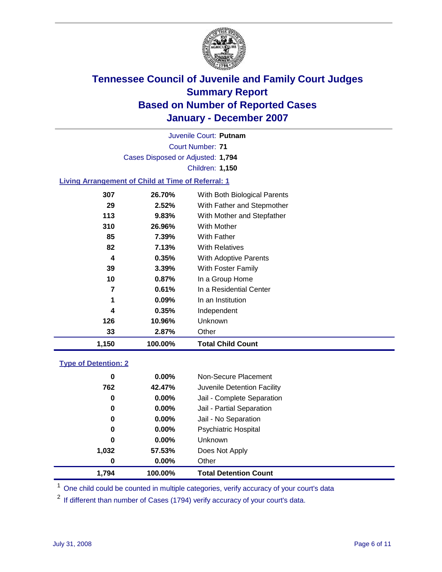

Court Number: **71** Juvenile Court: **Putnam** Cases Disposed or Adjusted: **1,794** Children: **1,150**

### **Living Arrangement of Child at Time of Referral: 1**

| 1,150 | 100.00%  | <b>Total Child Count</b>     |
|-------|----------|------------------------------|
| 33    | 2.87%    | Other                        |
| 126   | 10.96%   | Unknown                      |
| 4     | 0.35%    | Independent                  |
| 1     | 0.09%    | In an Institution            |
| 7     | 0.61%    | In a Residential Center      |
| 10    | $0.87\%$ | In a Group Home              |
| 39    | 3.39%    | With Foster Family           |
| 4     | 0.35%    | With Adoptive Parents        |
| 82    | 7.13%    | <b>With Relatives</b>        |
| 85    | 7.39%    | With Father                  |
| 310   | 26.96%   | With Mother                  |
| 113   | 9.83%    | With Mother and Stepfather   |
| 29    | 2.52%    | With Father and Stepmother   |
| 307   | 26.70%   | With Both Biological Parents |

#### **Type of Detention: 2**

| 1.794 | 100.00%  | <b>Total Detention Count</b> |  |
|-------|----------|------------------------------|--|
| 0     | $0.00\%$ | Other                        |  |
| 1,032 | 57.53%   | Does Not Apply               |  |
| 0     | $0.00\%$ | <b>Unknown</b>               |  |
| 0     | $0.00\%$ | <b>Psychiatric Hospital</b>  |  |
| 0     | 0.00%    | Jail - No Separation         |  |
| 0     | $0.00\%$ | Jail - Partial Separation    |  |
| 0     | $0.00\%$ | Jail - Complete Separation   |  |
| 762   | 42.47%   | Juvenile Detention Facility  |  |
| 0     | $0.00\%$ | Non-Secure Placement         |  |
|       |          |                              |  |

<sup>1</sup> One child could be counted in multiple categories, verify accuracy of your court's data

<sup>2</sup> If different than number of Cases (1794) verify accuracy of your court's data.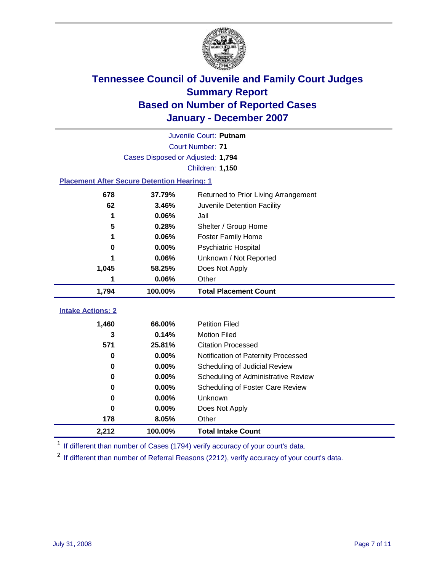

|                                                    | Juvenile Court: Putnam |                                      |  |  |  |  |
|----------------------------------------------------|------------------------|--------------------------------------|--|--|--|--|
| Court Number: 71                                   |                        |                                      |  |  |  |  |
| Cases Disposed or Adjusted: 1,794                  |                        |                                      |  |  |  |  |
|                                                    | Children: 1,150        |                                      |  |  |  |  |
| <b>Placement After Secure Detention Hearing: 1</b> |                        |                                      |  |  |  |  |
| 678                                                | 37.79%                 | Returned to Prior Living Arrangement |  |  |  |  |
| 62                                                 | 3.46%                  | Juvenile Detention Facility          |  |  |  |  |
| 1                                                  | 0.06%                  | Jail                                 |  |  |  |  |
| 5                                                  | 0.28%                  | Shelter / Group Home                 |  |  |  |  |
| 1                                                  | 0.06%                  | <b>Foster Family Home</b>            |  |  |  |  |
| 0                                                  | 0.00%                  | Psychiatric Hospital                 |  |  |  |  |
|                                                    | 0.06%                  | Unknown / Not Reported               |  |  |  |  |
| 1,045                                              | 58.25%                 | Does Not Apply                       |  |  |  |  |
| 1                                                  | 0.06%                  | Other                                |  |  |  |  |
| 1,794                                              | 100.00%                | <b>Total Placement Count</b>         |  |  |  |  |
| <b>Intake Actions: 2</b>                           |                        |                                      |  |  |  |  |
|                                                    |                        |                                      |  |  |  |  |
| 1,460                                              |                        |                                      |  |  |  |  |
|                                                    | 66.00%                 | <b>Petition Filed</b>                |  |  |  |  |
| 3                                                  | 0.14%                  | <b>Motion Filed</b>                  |  |  |  |  |
| 571                                                | 25.81%                 | <b>Citation Processed</b>            |  |  |  |  |
| 0                                                  | 0.00%                  | Notification of Paternity Processed  |  |  |  |  |
| $\bf{0}$                                           | 0.00%                  | Scheduling of Judicial Review        |  |  |  |  |
| 0                                                  | 0.00%                  | Scheduling of Administrative Review  |  |  |  |  |
| 0                                                  | 0.00%                  | Scheduling of Foster Care Review     |  |  |  |  |
| $\bf{0}$                                           | 0.00%                  | Unknown                              |  |  |  |  |
| $\bf{0}$                                           | 0.00%                  | Does Not Apply                       |  |  |  |  |
| 178                                                | 8.05%                  | Other                                |  |  |  |  |

<sup>1</sup> If different than number of Cases (1794) verify accuracy of your court's data.

<sup>2</sup> If different than number of Referral Reasons (2212), verify accuracy of your court's data.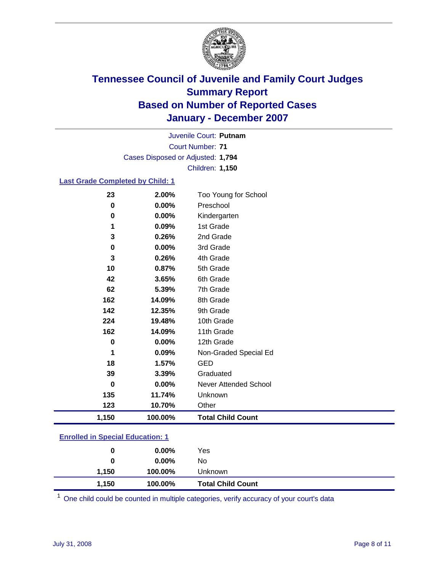

Court Number: **71** Juvenile Court: **Putnam** Cases Disposed or Adjusted: **1,794** Children: **1,150**

### **Last Grade Completed by Child: 1**

| 23       | 2.00%   | Too Young for School     |
|----------|---------|--------------------------|
| $\bf{0}$ | 0.00%   | Preschool                |
| $\bf{0}$ | 0.00%   | Kindergarten             |
| 1        | 0.09%   | 1st Grade                |
| 3        | 0.26%   | 2nd Grade                |
| $\bf{0}$ | 0.00%   | 3rd Grade                |
| 3        | 0.26%   | 4th Grade                |
| 10       | 0.87%   | 5th Grade                |
| 42       | 3.65%   | 6th Grade                |
| 62       | 5.39%   | 7th Grade                |
| 162      | 14.09%  | 8th Grade                |
| 142      | 12.35%  | 9th Grade                |
| 224      | 19.48%  | 10th Grade               |
| 162      | 14.09%  | 11th Grade               |
| 0        | 0.00%   | 12th Grade               |
| 1        | 0.09%   | Non-Graded Special Ed    |
| 18       | 1.57%   | <b>GED</b>               |
| 39       | 3.39%   | Graduated                |
| 0        | 0.00%   | Never Attended School    |
| 135      | 11.74%  | Unknown                  |
| 123      | 10.70%  | Other                    |
| 1,150    | 100.00% | <b>Total Child Count</b> |

### **Enrolled in Special Education: 1**

| 0     | $0.00\%$ | No                       |  |
|-------|----------|--------------------------|--|
| 1.150 | 100.00%  | Unknown                  |  |
| 1,150 | 100.00%  | <b>Total Child Count</b> |  |

<sup>1</sup> One child could be counted in multiple categories, verify accuracy of your court's data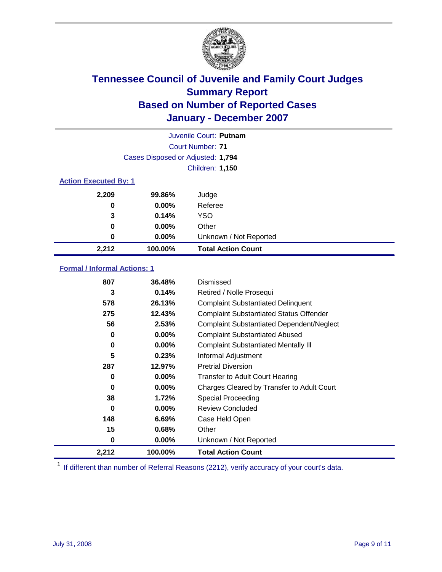

|                              |                                   | Juvenile Court: Putnam    |
|------------------------------|-----------------------------------|---------------------------|
|                              |                                   | Court Number: 71          |
|                              | Cases Disposed or Adjusted: 1,794 |                           |
|                              |                                   | <b>Children: 1,150</b>    |
| <b>Action Executed By: 1</b> |                                   |                           |
| 2,209                        | 99.86%                            | Judge                     |
| 0                            | $0.00\%$                          | Referee                   |
| 3                            | 0.14%                             | <b>YSO</b>                |
| 0                            | $0.00\%$                          | Other                     |
| 0                            | $0.00\%$                          | Unknown / Not Reported    |
| 2,212                        | 100.00%                           | <b>Total Action Count</b> |

### **Formal / Informal Actions: 1**

| 807   | 36.48%   | Dismissed                                        |
|-------|----------|--------------------------------------------------|
| 3     | 0.14%    | Retired / Nolle Prosequi                         |
| 578   | 26.13%   | <b>Complaint Substantiated Delinquent</b>        |
| 275   | 12.43%   | <b>Complaint Substantiated Status Offender</b>   |
| 56    | 2.53%    | <b>Complaint Substantiated Dependent/Neglect</b> |
| 0     | 0.00%    | <b>Complaint Substantiated Abused</b>            |
| 0     | $0.00\%$ | <b>Complaint Substantiated Mentally III</b>      |
| 5     | 0.23%    | Informal Adjustment                              |
| 287   | 12.97%   | <b>Pretrial Diversion</b>                        |
| 0     | $0.00\%$ | <b>Transfer to Adult Court Hearing</b>           |
| 0     | $0.00\%$ | Charges Cleared by Transfer to Adult Court       |
| 38    | 1.72%    | Special Proceeding                               |
| 0     | $0.00\%$ | <b>Review Concluded</b>                          |
| 148   | 6.69%    | Case Held Open                                   |
| 15    | 0.68%    | Other                                            |
| 0     | $0.00\%$ | Unknown / Not Reported                           |
| 2,212 | 100.00%  | <b>Total Action Count</b>                        |

<sup>1</sup> If different than number of Referral Reasons (2212), verify accuracy of your court's data.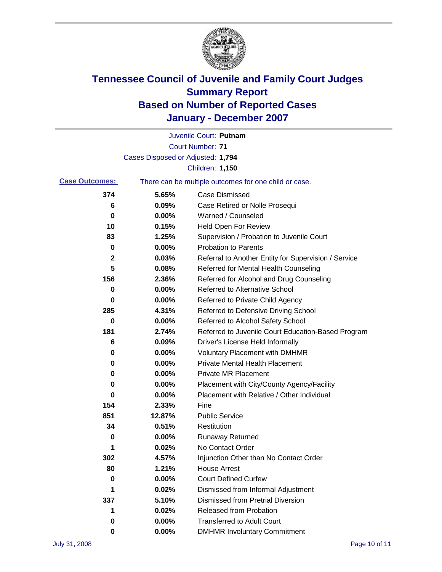

|                       |                                   | Juvenile Court: Putnam                                |
|-----------------------|-----------------------------------|-------------------------------------------------------|
|                       |                                   | <b>Court Number: 71</b>                               |
|                       | Cases Disposed or Adjusted: 1,794 |                                                       |
|                       |                                   | Children: 1,150                                       |
| <b>Case Outcomes:</b> |                                   | There can be multiple outcomes for one child or case. |
| 374                   | 5.65%                             | <b>Case Dismissed</b>                                 |
| 6                     | 0.09%                             | Case Retired or Nolle Prosequi                        |
| 0                     | 0.00%                             | Warned / Counseled                                    |
| 10                    | 0.15%                             | Held Open For Review                                  |
| 83                    | 1.25%                             | Supervision / Probation to Juvenile Court             |
| 0                     | 0.00%                             | <b>Probation to Parents</b>                           |
| 2                     | 0.03%                             | Referral to Another Entity for Supervision / Service  |
| 5                     | 0.08%                             | Referred for Mental Health Counseling                 |
| 156                   | 2.36%                             | Referred for Alcohol and Drug Counseling              |
| 0                     | 0.00%                             | <b>Referred to Alternative School</b>                 |
| 0                     | 0.00%                             | Referred to Private Child Agency                      |
| 285                   | 4.31%                             | Referred to Defensive Driving School                  |
| 0                     | 0.00%                             | Referred to Alcohol Safety School                     |
| 181                   | 2.74%                             | Referred to Juvenile Court Education-Based Program    |
| 6                     | 0.09%                             | Driver's License Held Informally                      |
| 0                     | 0.00%                             | <b>Voluntary Placement with DMHMR</b>                 |
| 0                     | 0.00%                             | <b>Private Mental Health Placement</b>                |
| 0                     | 0.00%                             | Private MR Placement                                  |
| 0                     | 0.00%                             | Placement with City/County Agency/Facility            |
| 0                     | 0.00%                             | Placement with Relative / Other Individual            |
| 154                   | 2.33%                             | Fine                                                  |
| 851                   | 12.87%                            | <b>Public Service</b>                                 |
| 34                    | 0.51%                             | Restitution                                           |
| 0                     | 0.00%                             | <b>Runaway Returned</b>                               |
| 1                     | 0.02%                             | No Contact Order                                      |
| 302                   | 4.57%                             | Injunction Other than No Contact Order                |
| 80                    | 1.21%                             | <b>House Arrest</b>                                   |
| 0                     | 0.00%                             | <b>Court Defined Curfew</b>                           |
| 1                     | 0.02%                             | Dismissed from Informal Adjustment                    |
| 337                   | 5.10%                             | <b>Dismissed from Pretrial Diversion</b>              |
| 1                     | 0.02%                             | <b>Released from Probation</b>                        |
| 0                     | 0.00%                             | <b>Transferred to Adult Court</b>                     |
| 0                     | $0.00\%$                          | <b>DMHMR Involuntary Commitment</b>                   |